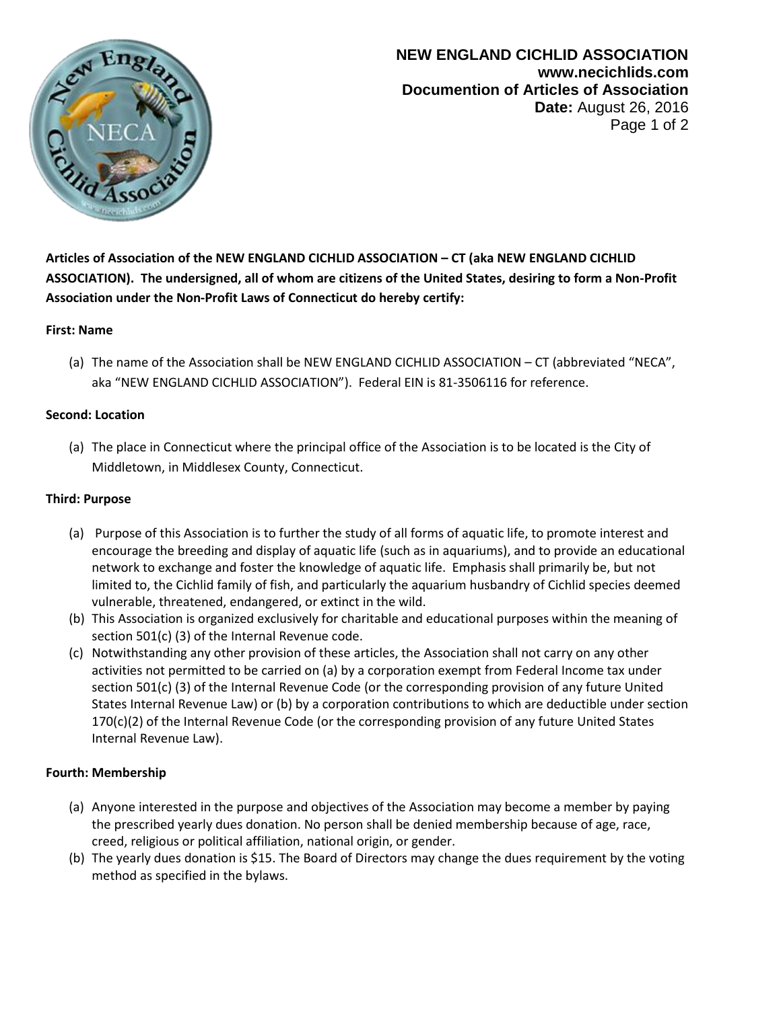

**NEW ENGLAND CICHLID ASSOCIATION www.necichlids.com Documention of Articles of Association Date:** August 26, 2016 Page 1 of 2

**Articles of Association of the NEW ENGLAND CICHLID ASSOCIATION – CT (aka NEW ENGLAND CICHLID ASSOCIATION). The undersigned, all of whom are citizens of the United States, desiring to form a Non-Profit Association under the Non-Profit Laws of Connecticut do hereby certify:**

# **First: Name**

(a) The name of the Association shall be NEW ENGLAND CICHLID ASSOCIATION – CT (abbreviated "NECA", aka "NEW ENGLAND CICHLID ASSOCIATION"). Federal EIN is 81-3506116 for reference.

### **Second: Location**

(a) The place in Connecticut where the principal office of the Association is to be located is the City of Middletown, in Middlesex County, Connecticut.

### **Third: Purpose**

- (a) Purpose of this Association is to further the study of all forms of aquatic life, to promote interest and encourage the breeding and display of aquatic life (such as in aquariums), and to provide an educational network to exchange and foster the knowledge of aquatic life. Emphasis shall primarily be, but not limited to, the Cichlid family of fish, and particularly the aquarium husbandry of Cichlid species deemed vulnerable, threatened, endangered, or extinct in the wild.
- (b) This Association is organized exclusively for charitable and educational purposes within the meaning of section 501(c) (3) of the Internal Revenue code.
- (c) Notwithstanding any other provision of these articles, the Association shall not carry on any other activities not permitted to be carried on (a) by a corporation exempt from Federal Income tax under section 501(c) (3) of the Internal Revenue Code (or the corresponding provision of any future United States Internal Revenue Law) or (b) by a corporation contributions to which are deductible under section 170(c)(2) of the Internal Revenue Code (or the corresponding provision of any future United States Internal Revenue Law).

# **Fourth: Membership**

- (a) Anyone interested in the purpose and objectives of the Association may become a member by paying the prescribed yearly dues donation. No person shall be denied membership because of age, race, creed, religious or political affiliation, national origin, or gender.
- (b) The yearly dues donation is \$15. The Board of Directors may change the dues requirement by the voting method as specified in the bylaws.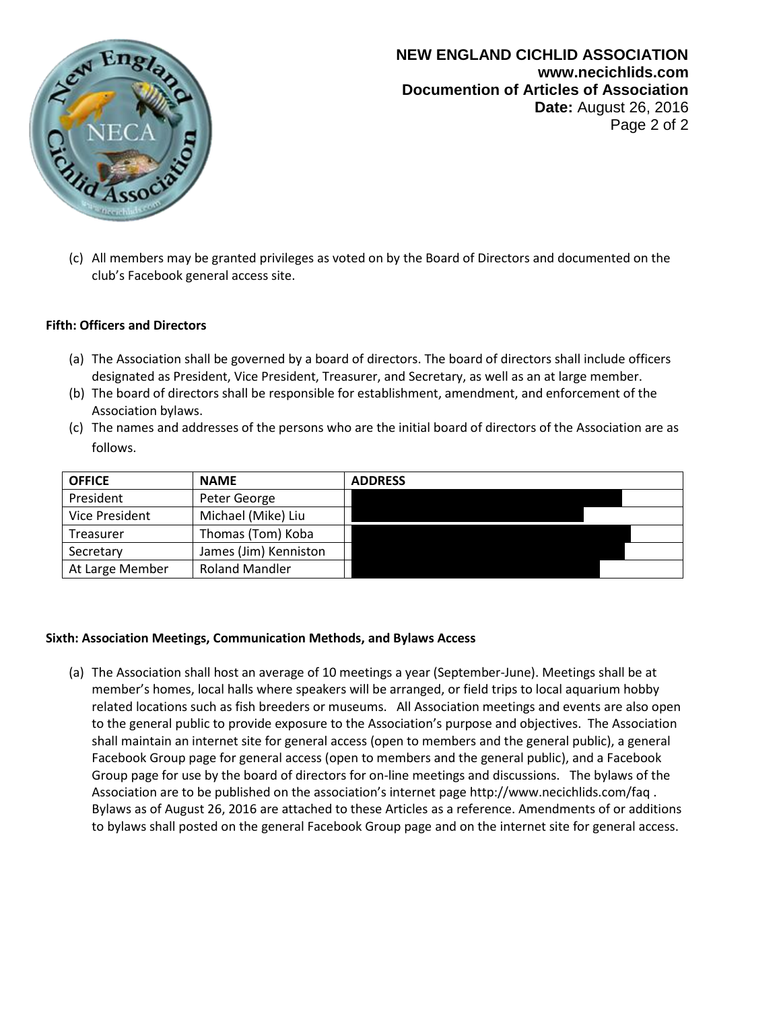

# **NEW ENGLAND CICHLID ASSOCIATION www.necichlids.com Documention of Articles of Association Date:** August 26, 2016 Page 2 of 2

(c) All members may be granted privileges as voted on by the Board of Directors and documented on the club's Facebook general access site.

# **Fifth: Officers and Directors**

- (a) The Association shall be governed by a board of directors. The board of directors shall include officers designated as President, Vice President, Treasurer, and Secretary, as well as an at large member.
- (b) The board of directors shall be responsible for establishment, amendment, and enforcement of the Association bylaws.
- (c) The names and addresses of the persons who are the initial board of directors of the Association are as follows.

| <b>OFFICE</b>   | <b>NAME</b>           | <b>ADDRESS</b> |
|-----------------|-----------------------|----------------|
| President       | Peter George          |                |
| Vice President  | Michael (Mike) Liu    |                |
| Treasurer       | Thomas (Tom) Koba     |                |
| Secretary       | James (Jim) Kenniston |                |
| At Large Member | <b>Roland Mandler</b> |                |

#### **Sixth: Association Meetings, Communication Methods, and Bylaws Access**

(a) The Association shall host an average of 10 meetings a year (September-June). Meetings shall be at member's homes, local halls where speakers will be arranged, or field trips to local aquarium hobby related locations such as fish breeders or museums. All Association meetings and events are also open to the general public to provide exposure to the Association's purpose and objectives. The Association shall maintain an internet site for general access (open to members and the general public), a general Facebook Group page for general access (open to members and the general public), and a Facebook Group page for use by the board of directors for on-line meetings and discussions. The bylaws of the Association are to be published on the association's internet page http://www.necichlids.com/faq . Bylaws as of August 26, 2016 are attached to these Articles as a reference. Amendments of or additions to bylaws shall posted on the general Facebook Group page and on the internet site for general access.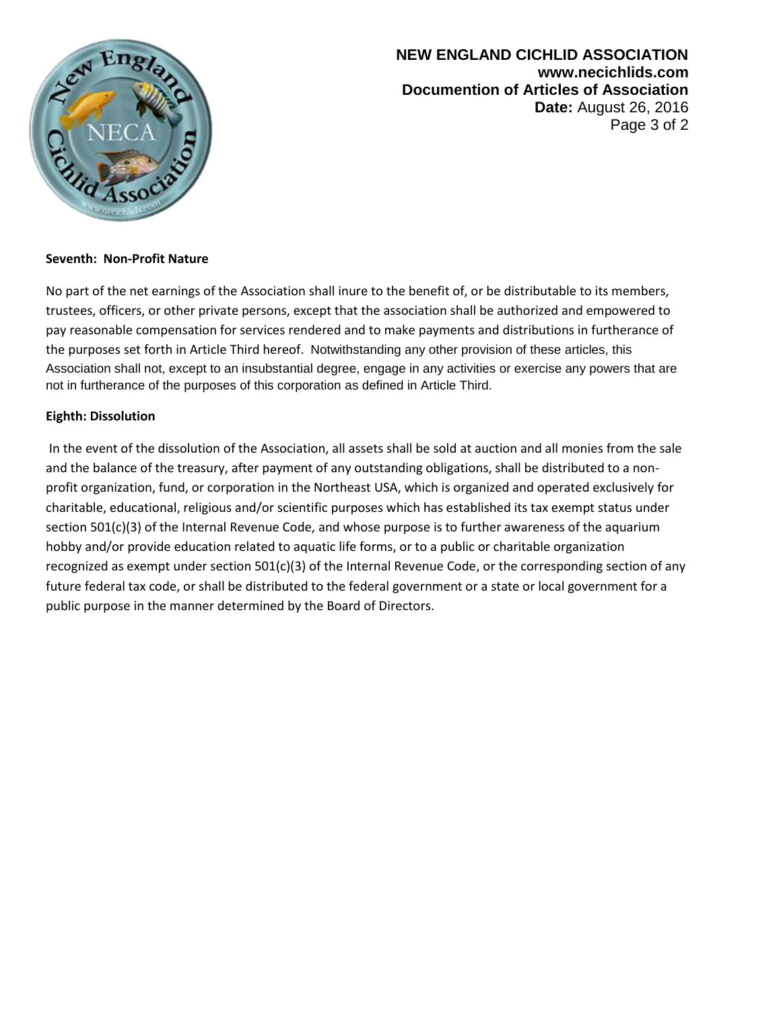

**NEW ENGLAND CICHLID ASSOCIATION www.necichlids.com Documention of Articles of Association Date:** August 26, 2016 Page 3 of 2

### **Seventh: Non-Profit Nature**

No part of the net earnings of the Association shall inure to the benefit of, or be distributable to its members, trustees, officers, or other private persons, except that the association shall be authorized and empowered to pay reasonable compensation for services rendered and to make payments and distributions in furtherance of the purposes set forth in Article Third hereof. Notwithstanding any other provision of these articles, this Association shall not, except to an insubstantial degree, engage in any activities or exercise any powers that are not in furtherance of the purposes of this corporation as defined in Article Third.

### **Eighth: Dissolution**

In the event of the dissolution of the Association, all assets shall be sold at auction and all monies from the sale and the balance of the treasury, after payment of any outstanding obligations, shall be distributed to a nonprofit organization, fund, or corporation in the Northeast USA, which is organized and operated exclusively for charitable, educational, religious and/or scientific purposes which has established its tax exempt status under section 501(c)(3) of the Internal Revenue Code, and whose purpose is to further awareness of the aquarium hobby and/or provide education related to aquatic life forms, or to a public or charitable organization recognized as exempt under section 501(c)(3) of the Internal Revenue Code, or the corresponding section of any future federal tax code, or shall be distributed to the federal government or a state or local government for a public purpose in the manner determined by the Board of Directors.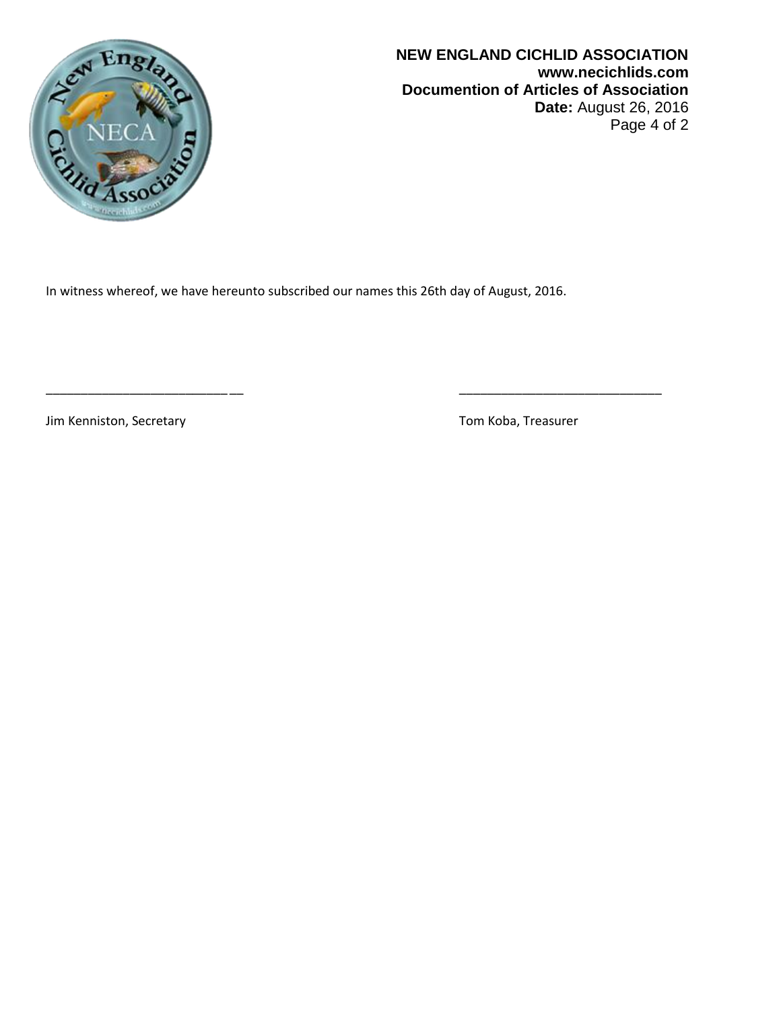

**NEW ENGLAND CICHLID ASSOCIATION www.necichlids.com Documention of Articles of Association Date:** August 26, 2016 Page 4 of 2

In witness whereof, we have hereunto subscribed our names this 26th day of August, 2016.

\_\_\_\_\_\_\_\_\_\_\_\_\_\_\_\_\_\_\_\_\_\_\_\_\_\_ \_\_ \_\_\_\_\_\_\_\_\_\_\_\_\_\_\_\_\_\_\_\_\_\_\_\_\_\_\_\_\_

Jim Kenniston, Secretary Tom Koba, Treasurer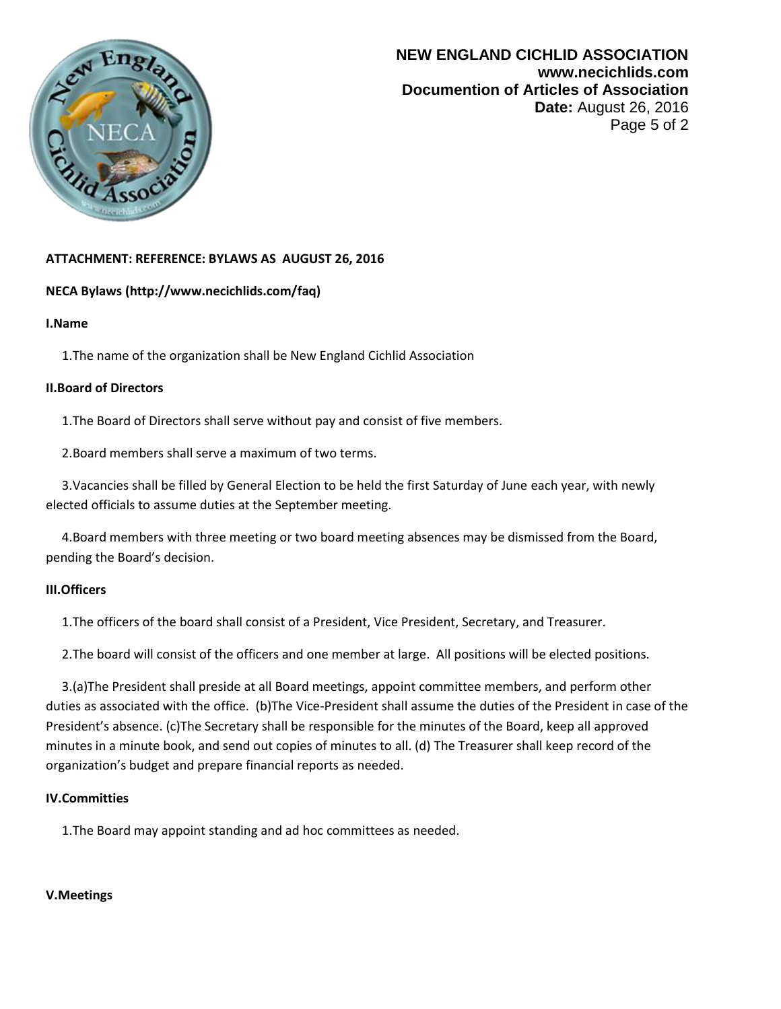

# **ATTACHMENT: REFERENCE: BYLAWS AS AUGUST 26, 2016**

# **NECA Bylaws (http://www.necichlids.com/faq)**

### **I.Name**

1.The name of the organization shall be New England Cichlid Association

### **II.Board of Directors**

1.The Board of Directors shall serve without pay and consist of five members.

2.Board members shall serve a maximum of two terms.

 3.Vacancies shall be filled by General Election to be held the first Saturday of June each year, with newly elected officials to assume duties at the September meeting.

 4.Board members with three meeting or two board meeting absences may be dismissed from the Board, pending the Board's decision.

# **III.Officers**

1.The officers of the board shall consist of a President, Vice President, Secretary, and Treasurer.

2.The board will consist of the officers and one member at large. All positions will be elected positions.

 3.(a)The President shall preside at all Board meetings, appoint committee members, and perform other duties as associated with the office. (b)The Vice-President shall assume the duties of the President in case of the President's absence. (c)The Secretary shall be responsible for the minutes of the Board, keep all approved minutes in a minute book, and send out copies of minutes to all. (d) The Treasurer shall keep record of the organization's budget and prepare financial reports as needed.

# **IV.Committies**

1.The Board may appoint standing and ad hoc committees as needed.

#### **V.Meetings**